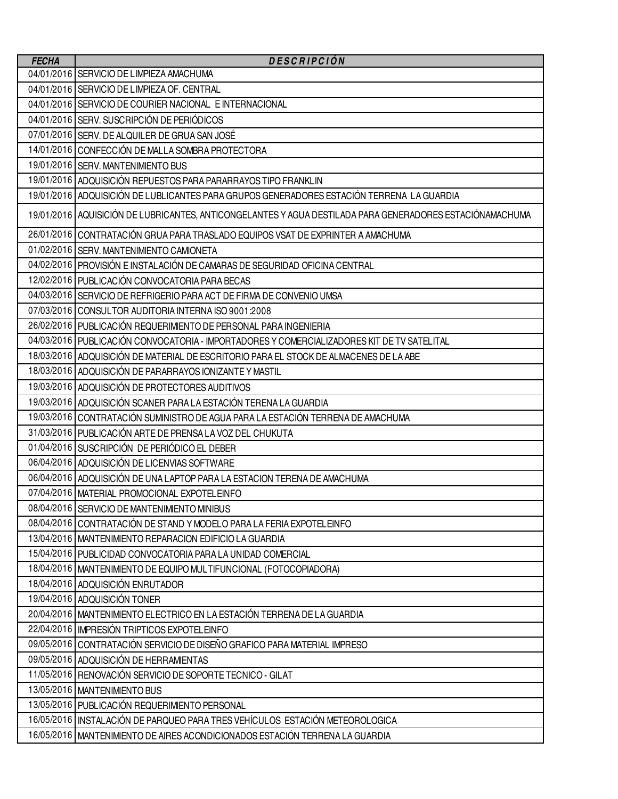| <b>FECHA</b> | <b>DESCRIPCIÓN</b>                                                                                       |
|--------------|----------------------------------------------------------------------------------------------------------|
|              | 04/01/2016 SERVICIO DE LIMPIEZA AMACHUMA                                                                 |
|              | 04/01/2016 SERVICIO DE LIMPIEZA OF. CENTRAL                                                              |
|              | 04/01/2016 SERVICIO DE COURIER NACIONAL E INTERNACIONAL                                                  |
|              | 04/01/2016 SERV. SUSCRIPCIÓN DE PERIÓDICOS                                                               |
|              | 07/01/2016 SERV. DE ALQUILER DE GRUA SAN JOSÉ                                                            |
|              | 14/01/2016 CONFECCIÓN DE MALLA SOMBRA PROTECTORA                                                         |
|              | 19/01/2016 SERV. MANTENIMIENTO BUS                                                                       |
|              | 19/01/2016 ADQUISICIÓN REPUESTOS PARA PARARRAYOS TIPO FRANKLIN                                           |
|              | 19/01/2016 ADQUISICIÓN DE LUBLICANTES PARA GRUPOS GENERADORES ESTACIÓN TERRENA LA GUARDIA                |
|              | 19/01/2016 AQUISICIÓN DE LUBRICANTES, ANTICONGELANTES Y AGUA DESTILADA PARA GENERADORES ESTACIÓNAMACHUMA |
|              | 26/01/2016 CONTRATACIÓN GRUA PARA TRASLADO EQUIPOS VSAT DE EXPRINTER A AMACHUMA                          |
|              | 01/02/2016 SERV. MANTENIMIENTO CAMIONETA                                                                 |
|              | 04/02/2016 PROVISIÓN E INSTALACIÓN DE CAMARAS DE SEGURIDAD OFICINA CENTRAL                               |
|              | 12/02/2016   PUBLICACIÓN CONVOCATORIA PARA BECAS                                                         |
|              | 04/03/2016 SERVICIO DE REFRIGERIO PARA ACT DE FIRMA DE CONVENIO UMSA                                     |
|              | 07/03/2016 CONSULTOR AUDITORIA INTERNA ISO 9001:2008                                                     |
|              | 26/02/2016   PUBLICACIÓN REQUERIMIENTO DE PERSONAL PARA INGENIERIA                                       |
|              | 04/03/2016   PUBLICACIÓN CONVOCATORIA - IMPORTADORES Y COMERCIALIZADORES KIT DE TV SATELITAL             |
|              | 18/03/2016 ADQUISICIÓN DE MATERIAL DE ESCRITORIO PARA EL STOCK DE ALMACENES DE LA ABE                    |
|              | 18/03/2016   ADQUISICIÓN DE PARARRAYOS IONIZANTE Y MASTIL                                                |
|              | 19/03/2016   ADQUISICIÓN DE PROTECTORES AUDITIVOS                                                        |
|              | 19/03/2016 ADQUISICIÓN SCANER PARA LA ESTACIÓN TERENA LA GUARDIA                                         |
|              | 19/03/2016 CONTRATACIÓN SUMINISTRO DE AGUA PARA LA ESTACIÓN TERRENA DE AMACHUMA                          |
|              | 31/03/2016   PUBLICACIÓN ARTE DE PRENSA LA VOZ DEL CHUKUTA                                               |
|              | 01/04/2016 SUSCRIPCIÓN DE PERIÓDICO EL DEBER                                                             |
|              | 06/04/2016   ADQUISICIÓN DE LICENVIAS SOFTWARE                                                           |
|              | 06/04/2016 ADQUISICIÓN DE UNA LAPTOP PARA LA ESTACION TERENA DE AMACHUMA                                 |
|              | 07/04/2016   MATERIAL PROMOCIONAL EXPOTELEINFO                                                           |
|              | 08/04/2016 SERVICIO DE MANTENIMIENTO MINIBUS                                                             |
|              | 08/04/2016 CONTRATACIÓN DE STAND Y MODELO PARA LA FERIA EXPOTELEINFO                                     |
|              | 13/04/2016   MANTENIMIENTO REPARACION EDIFICIO LA GUARDIA                                                |
|              | 15/04/2016 PUBLICIDAD CONVOCATORIA PARA LA UNIDAD COMERCIAL                                              |
|              | 18/04/2016   MANTENIMIENTO DE EQUIPO MULTIFUNCIONAL (FOTOCOPIADORA)                                      |
|              | 18/04/2016   ADQUISICIÓN ENRUTADOR                                                                       |
|              | 19/04/2016 ADQUISICIÓN TONER                                                                             |
|              | 20/04/2016   MANTENIMIENTO ELECTRICO EN LA ESTACIÓN TERRENA DE LA GUARDIA                                |
|              | 22/04/2016   IMPRESIÓN TRIPTICOS EXPOTELEINFO                                                            |
|              | 09/05/2016 CONTRATACIÓN SERVICIO DE DISEÑO GRAFICO PARA MATERIAL IMPRESO                                 |
|              | 09/05/2016 ADQUISICIÓN DE HERRAMIENTAS                                                                   |
|              | 11/05/2016 RENOVACIÓN SERVICIO DE SOPORTE TECNICO - GILAT                                                |
|              | 13/05/2016   MANTENIMIENTO BUS                                                                           |
|              | 13/05/2016 PUBLICACIÓN REQUERIMIENTO PERSONAL                                                            |
|              | 16/05/2016   INSTALACIÓN DE PARQUEO PARA TRES VEHÍCULOS ESTACIÓN METEOROLOGICA                           |
|              | 16/05/2016   MANTENIMIENTO DE AIRES ACONDICIONADOS ESTACIÓN TERRENA LA GUARDIA                           |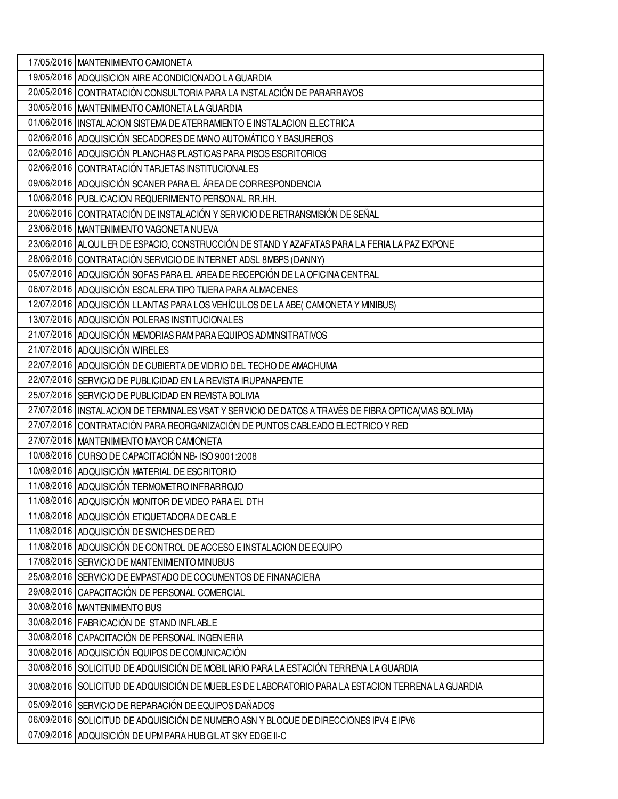| 17/05/2016   MANTENIMIENTO CAMIONETA                                                                   |
|--------------------------------------------------------------------------------------------------------|
| 19/05/2016 ADQUISICION AIRE ACONDICIONADO LA GUARDIA                                                   |
| 20/05/2016 CONTRATACIÓN CONSULTORIA PARA LA INSTALACIÓN DE PARARRAYOS                                  |
| 30/05/2016   MANTENIMIENTO CAMIONETA LA GUARDIA                                                        |
| 01/06/2016   INSTALACION SISTEMA DE ATERRAMIENTO E INSTALACION ELECTRICA                               |
| 02/06/2016 ADQUISICIÓN SECADORES DE MANO AUTOMÁTICO Y BASUREROS                                        |
| 02/06/2016 ADQUISICIÓN PLANCHAS PLASTICAS PARA PISOS ESCRITORIOS                                       |
| 02/06/2016 CONTRATACIÓN TARJETAS INSTITUCIONALES                                                       |
| 09/06/2016 ADQUISICIÓN SCANER PARA EL ÁREA DE CORRESPONDENCIA                                          |
| 10/06/2016 PUBLICACION REQUERIMIENTO PERSONAL RR.HH.                                                   |
| 20/06/2016 CONTRATACIÓN DE INSTALACIÓN Y SERVICIO DE RETRANSMISIÓN DE SEÑAL                            |
| 23/06/2016   MANTENIMIENTO VAGONETA NUEVA                                                              |
| 23/06/2016   ALQUILER DE ESPACIO, CONSTRUCCIÓN DE STAND Y AZAFATAS PARA LA FERIA LA PAZ EXPONE         |
| 28/06/2016 CONTRATACIÓN SERVICIO DE INTERNET ADSL 8MBPS (DANNY)                                        |
| 05/07/2016 ADQUISICIÓN SOFAS PARA EL AREA DE RECEPCIÓN DE LA OFICINA CENTRAL                           |
| 06/07/2016   ADQUISICIÓN ESCALERA TIPO TIJERA PARA ALMACENES                                           |
| 12/07/2016 ADQUISICIÓN LLANTAS PARA LOS VEHÍCULOS DE LA ABE(CAMIONETA Y MINIBUS)                       |
| 13/07/2016 ADQUISICIÓN POLERAS INSTITUCIONALES                                                         |
| 21/07/2016 ADQUISICIÓN MEMORIAS RAM PARA EQUIPOS ADMINSITRATIVOS                                       |
| 21/07/2016 ADQUISICIÓN WIRELES                                                                         |
| 22/07/2016 ADQUISICIÓN DE CUBIERTA DE VIDRIO DEL TECHO DE AMACHUMA                                     |
| 22/07/2016 SERVICIO DE PUBLICIDAD EN LA REVISTA IRUPANAPENTE                                           |
| 25/07/2016 SERVICIO DE PUBLICIDAD EN REVISTA BOLIVIA                                                   |
| 27/07/2016   INSTALACION DE TERMINALES VSAT Y SERVICIO DE DATOS A TRAVÉS DE FIBRA OPTICA(VIAS BOLIVIA) |
| 27/07/2016 CONTRATACIÓN PARA REORGANIZACIÓN DE PUNTOS CABLEADO ELECTRICO Y RED                         |
| 27/07/2016   MANTENIMIENTO MAYOR CAMIONETA                                                             |
| 10/08/2016 CURSO DE CAPACITACIÓN NB-ISO 9001:2008                                                      |
| 10/08/2016 ADQUISICIÓN MATERIAL DE ESCRITORIO                                                          |
| 11/08/2016 ADQUISICIÓN TERMOMETRO INFRARROJO                                                           |
| 11/08/2016 ADQUISICIÓN MONITOR DE VIDEO PARA EL DTH                                                    |
| 11/08/2016 ADQUISICIÓN ETIQUETADORA DE CABLE                                                           |
| 11/08/2016 ADQUISICIÓN DE SWICHES DE RED                                                               |
| 11/08/2016 ADQUISICIÓN DE CONTROL DE ACCESO E INSTALACION DE EQUIPO                                    |
| 17/08/2016 SERVICIO DE MANTENIMIENTO MINUBUS                                                           |
| 25/08/2016 SERVICIO DE EMPASTADO DE COCUMENTOS DE FINANACIERA                                          |
| 29/08/2016   CAPACITACIÓN DE PERSONAL COMERCIAL                                                        |
| 30/08/2016   MANTENIMIENTO BUS                                                                         |
| 30/08/2016   FABRICACIÓN DE STAND INFLABLE                                                             |
| 30/08/2016   CAPACITACIÓN DE PERSONAL INGENIERIA                                                       |
| 30/08/2016 ADQUISICIÓN EQUIPOS DE COMUNICACIÓN                                                         |
| 30/08/2016 SOLICITUD DE ADQUISICIÓN DE MOBILIARIO PARA LA ESTACIÓN TERRENA LA GUARDIA                  |
| 30/08/2016 SOLICITUD DE ADQUISICIÓN DE MUEBLES DE LABORATORIO PARA LA ESTACION TERRENA LA GUARDIA      |
| 05/09/2016 SERVICIO DE REPARACIÓN DE EQUIPOS DAÑADOS                                                   |
| 06/09/2016 SOLICITUD DE ADQUISICIÓN DE NUMERO ASN Y BLOQUE DE DIRECCIONES IPV4 E IPV6                  |
| 07/09/2016 ADQUISICIÓN DE UPM PARA HUB GILAT SKY EDGE II-C                                             |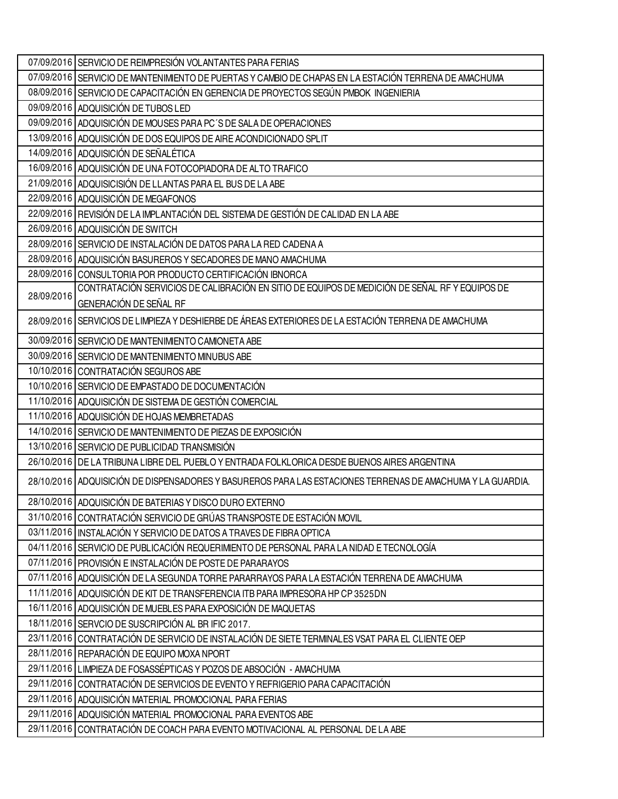|            | 07/09/2016 SERVICIO DE REIMPRESIÓN VOLANTANTES PARA FERIAS                                                 |
|------------|------------------------------------------------------------------------------------------------------------|
|            | 07/09/2016 SERVICIO DE MANTENIMIENTO DE PUERTAS Y CAMBIO DE CHAPAS EN LA ESTACIÓN TERRENA DE AMACHUMA      |
|            | 08/09/2016 SERVICIO DE CAPACITACIÓN EN GERENCIA DE PROYECTOS SEGÚN PMBOK INGENIERIA                        |
|            | 09/09/2016 ADQUISICIÓN DE TUBOS LED                                                                        |
|            | 09/09/2016 ADQUISICIÓN DE MOUSES PARA PC'S DE SALA DE OPERACIONES                                          |
|            | 13/09/2016 ADQUISICIÓN DE DOS EQUIPOS DE AIRE ACONDICIONADO SPLIT                                          |
|            | 14/09/2016 ADQUISICIÓN DE SEÑALÉTICA                                                                       |
|            | 16/09/2016 ADQUISICIÓN DE UNA FOTOCOPIADORA DE ALTO TRAFICO                                                |
|            | 21/09/2016   ADQUISICISIÓN DE LLANTAS PARA EL BUS DE LA ABE                                                |
|            | 22/09/2016 ADQUISICIÓN DE MEGAFONOS                                                                        |
|            | 22/09/2016 REVISIÓN DE LA IMPLANTACIÓN DEL SISTEMA DE GESTIÓN DE CALIDAD EN LA ABE                         |
|            | 26/09/2016 ADQUISICIÓN DE SWITCH                                                                           |
|            | 28/09/2016 SERVICIO DE INSTALACIÓN DE DATOS PARA LA RED CADENA A                                           |
|            | 28/09/2016   ADQUISICIÓN BASUREROS Y SECADORES DE MANO AMACHUMA                                            |
|            | 28/09/2016 CONSULTORIA POR PRODUCTO CERTIFICACIÓN IBNORCA                                                  |
| 28/09/2016 | CONTRATACIÓN SERVICIOS DE CALIBRACIÓN EN SITIO DE EQUIPOS DE MEDICIÓN DE SEÑAL RF Y EQUIPOS DE             |
|            | <b>GENERACIÓN DE SEÑAL RF</b>                                                                              |
|            | 28/09/2016 SERVICIOS DE LIMPIEZA Y DESHIERBE DE ÁREAS EXTERIORES DE LA ESTACIÓN TERRENA DE AMACHUMA        |
|            | 30/09/2016 SERVICIO DE MANTENIMIENTO CAMIONETA ABE                                                         |
|            | 30/09/2016 SERVICIO DE MANTENIMIENTO MINUBUS ABE                                                           |
|            | 10/10/2016 CONTRATACIÓN SEGUROS ABE                                                                        |
|            | 10/10/2016 SERVICIO DE EMPASTADO DE DOCUMENTACIÓN                                                          |
|            | 11/10/2016 ADQUISICIÓN DE SISTEMA DE GESTIÓN COMERCIAL                                                     |
|            | 11/10/2016 ADQUISICIÓN DE HOJAS MEMBRETADAS                                                                |
|            | 14/10/2016 SERVICIO DE MANTENIMIENTO DE PIEZAS DE EXPOSICIÓN                                               |
|            | 13/10/2016 SERVICIO DE PUBLICIDAD TRANSMISIÓN                                                              |
|            | 26/10/2016   DE LA TRIBUNA LIBRE DEL PUEBLO Y ENTRADA FOLKLORICA DESDE BUENOS AIRES ARGENTINA              |
|            | 28/10/2016 ADQUISICIÓN DE DISPENSADORES Y BASUREROS PARA LAS ESTACIONES TERRENAS DE AMACHUMA Y LA GUARDIA. |
|            | 28/10/2016 ADQUISICIÓN DE BATERIAS Y DISCO DURO EXTERNO                                                    |
|            | 31/10/2016 CONTRATACIÓN SERVICIO DE GRÚAS TRANSPOSTE DE ESTACIÓN MOVIL                                     |
|            | 03/11/2016   INSTALACIÓN Y SERVICIO DE DATOS A TRAVES DE FIBRA OPTICA                                      |
|            | 04/11/2016 SERVICIO DE PUBLICACIÓN REQUERIMIENTO DE PERSONAL PARA LA NIDAD E TECNOLOGÍA                    |
|            | 07/11/2016 PROVISIÓN E INSTALACIÓN DE POSTE DE PARARAYOS                                                   |
|            | 07/11/2016 ADQUISICIÓN DE LA SEGUNDA TORRE PARARRAYOS PARA LA ESTACIÓN TERRENA DE AMACHUMA                 |
|            | 11/11/2016 ADQUISICIÓN DE KIT DE TRANSFERENCIA ITB PARA IMPRESORA HP CP 3525DN                             |
|            | 16/11/2016 ADQUISICIÓN DE MUEBLES PARA EXPOSICIÓN DE MAQUETAS                                              |
|            | 18/11/2016 SERVCIO DE SUSCRIPCIÓN AL BRIFIC 2017.                                                          |
|            | 23/11/2016 CONTRATACIÓN DE SERVICIO DE INSTALACIÓN DE SIETE TERMINALES VSAT PARA EL CLIENTE OEP            |
|            | 28/11/2016 REPARACIÓN DE EQUIPO MOXA NPORT                                                                 |
|            | 29/11/2016   LIMPIEZA DE FOSASSÉPTICAS Y POZOS DE ABSOCIÓN - AMACHUMA                                      |
|            | 29/11/2016   CONTRATACIÓN DE SERVICIOS DE EVENTO Y REFRIGERIO PARA CAPACITACIÓN                            |
|            | 29/11/2016 ADQUISICIÓN MATERIAL PROMOCIONAL PARA FERIAS                                                    |
|            | 29/11/2016 ADQUISICIÓN MATERIAL PROMOCIONAL PARA EVENTOS ABE                                               |
|            | 29/11/2016 CONTRATACIÓN DE COACH PARA EVENTO MOTIVACIONAL AL PERSONAL DE LA ABE                            |